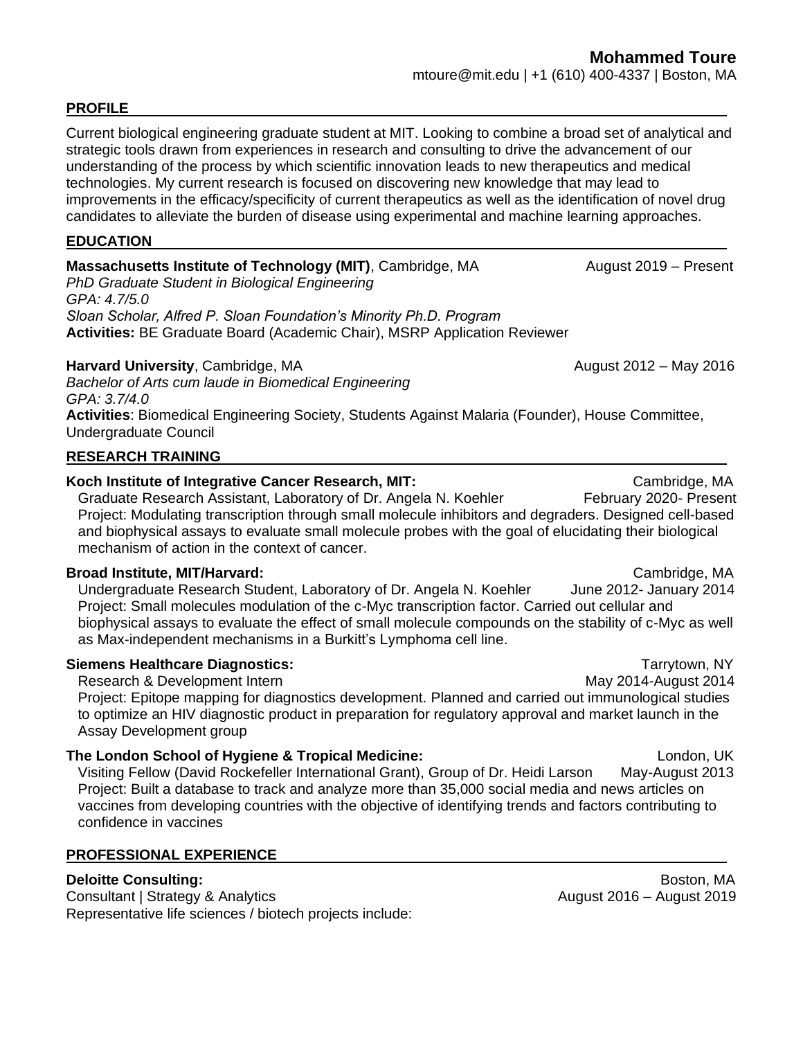### **PROFILE**

Current biological engineering graduate student at MIT. Looking to combine a broad set of analytical and strategic tools drawn from experiences in research and consulting to drive the advancement of our understanding of the process by which scientific innovation leads to new therapeutics and medical technologies. My current research is focused on discovering new knowledge that may lead to improvements in the efficacy/specificity of current therapeutics as well as the identification of novel drug candidates to alleviate the burden of disease using experimental and machine learning approaches.

### **EDUCATION**

## **Massachusetts Institute of Technology (MIT)**, Cambridge, MA August 2019 – Present

*PhD Graduate Student in Biological Engineering GPA: 4.7/5.0 Sloan Scholar, Alfred P. Sloan Foundation's Minority Ph.D. Program* **Activities:** BE Graduate Board (Academic Chair), MSRP Application Reviewer

### **Harvard University**, Cambridge, MA **August 2012** – May 2016

*Bachelor of Arts cum laude in Biomedical Engineering GPA: 3.7/4.0* **Activities**: Biomedical Engineering Society, Students Against Malaria (Founder), House Committee, Undergraduate Council

## **RESEARCH TRAINING**

## **Koch Institute of Integrative Cancer Research, MIT: Cambridge, MA Cambridge, MA**

Graduate Research Assistant, Laboratory of Dr. Angela N. Koehler February 2020- Present Project: Modulating transcription through small molecule inhibitors and degraders. Designed cell-based and biophysical assays to evaluate small molecule probes with the goal of elucidating their biological mechanism of action in the context of cancer.

### **Broad Institute, MIT/Harvard:** Cambridge, MA

Undergraduate Research Student, Laboratory of Dr. Angela N. Koehler June 2012- January 2014 Project: Small molecules modulation of the c-Myc transcription factor. Carried out cellular and biophysical assays to evaluate the effect of small molecule compounds on the stability of c-Myc as well as Max-independent mechanisms in a Burkitt's Lymphoma cell line.

### **Siemens Healthcare Diagnostics:** Tarrytown, NY

Research & Development Intern May 2014-August 2014 Project: Epitope mapping for diagnostics development. Planned and carried out immunological studies to optimize an HIV diagnostic product in preparation for regulatory approval and market launch in the Assay Development group

### **The London School of Hygiene & Tropical Medicine:** London, UK London, UK

Visiting Fellow (David Rockefeller International Grant), Group of Dr. Heidi Larson May-August 2013 Project: Built a database to track and analyze more than 35,000 social media and news articles on vaccines from developing countries with the objective of identifying trends and factors contributing to confidence in vaccines

## **PROFESSIONAL EXPERIENCE**

Consultant | Strategy & Analytics **August 2016** – August 2016 – August 2019 Representative life sciences / biotech projects include:

**Deloitte Consulting:** Boston, MA